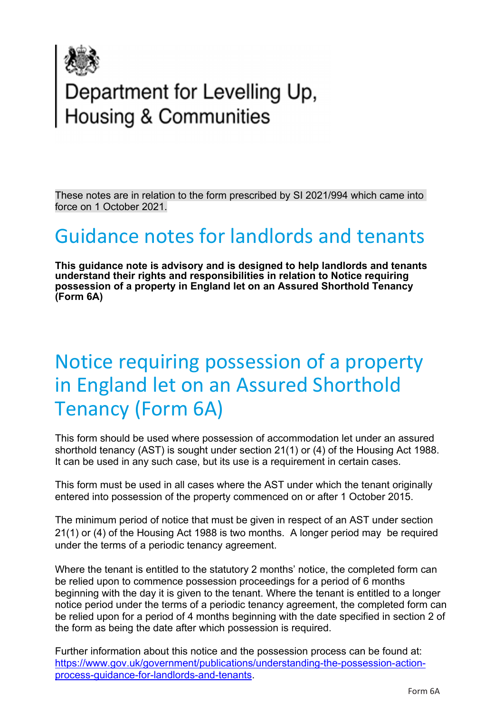

# Department for Levelling Up,<br>Housing & Communities

These notes are in relation to the form prescribed by SI 2021/994 which came into force on 1 October 2021.

## Guidance notes for landlords and tenants

**This guidance note is advisory and is designed to help landlords and tenants understand their rights and responsibilities in relation to Notice requiring possession of a property in England let on an Assured Shorthold Tenancy (Form 6A)**

# Notice requiring possession of a property in England let on an Assured Shorthold Tenancy (Form 6A)

This form should be used where possession of accommodation let under an assured shorthold tenancy (AST) is sought under section 21(1) or (4) of the Housing Act 1988. It can be used in any such case, but its use is a requirement in certain cases.

This form must be used in all cases where the AST under which the tenant originally entered into possession of the property commenced on or after 1 October 2015.

The minimum period of notice that must be given in respect of an AST under section 21(1) or (4) of the Housing Act 1988 is two months. A longer period may be required under the terms of a periodic tenancy agreement.

Where the tenant is entitled to the statutory 2 months' notice, the completed form can be relied upon to commence possession proceedings for a period of 6 months beginning with the day it is given to the tenant. Where the tenant is entitled to a longer notice period under the terms of a periodic tenancy agreement, the completed form can be relied upon for a period of 4 months beginning with the date specified in section 2 of the form as being the date after which possession is required.

Further information about this notice and the possession process can be found at: [https://www.gov.uk/government/publications/understanding-the-possession-action](https://www.gov.uk/government/publications/understanding-the-possession-action-process-guidance-for-landlords-and-tenants)[process-guidance-for-landlords-and-tenants.](https://www.gov.uk/government/publications/understanding-the-possession-action-process-guidance-for-landlords-and-tenants)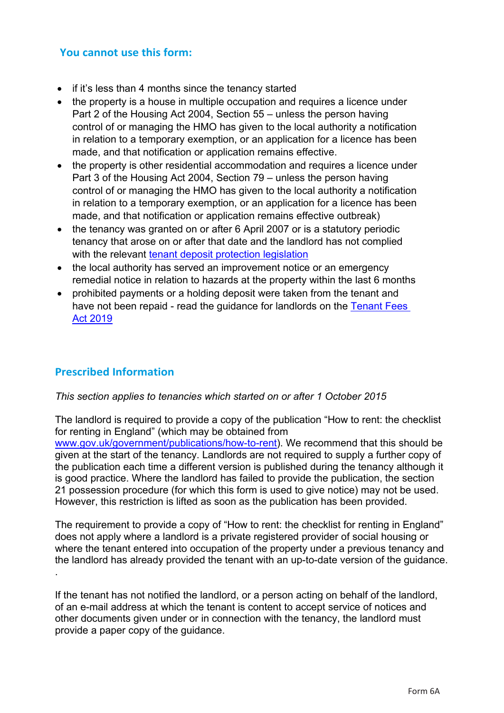## **You cannot use this form:**

- if it's less than 4 months since the tenancy started
- the property is a house in multiple occupation and requires a licence under Part 2 of the Housing Act 2004, Section 55 – unless the person having control of or managing the HMO has given to the local authority a notification in relation to a temporary exemption, or an application for a licence has been made, and that notification or application remains effective.
- the property is other residential accommodation and requires a licence under Part 3 of the Housing Act 2004, Section 79 – unless the person having control of or managing the HMO has given to the local authority a notification in relation to a temporary exemption, or an application for a licence has been made, and that notification or application remains effective outbreak)
- the tenancy was granted on or after 6 April 2007 or is a statutory periodic tenancy that arose on or after that date and the landlord has not complied with the relevant [tenant deposit protection legislation](https://www.gov.uk/deposit-protection-schemes-and-landlords)
- the local authority has served an improvement notice or an emergency remedial notice in relation to hazards at the property within the last 6 months
- prohibited payments or a holding deposit were taken from the tenant and have not been repaid - read the guidance for landlords on the [Tenant Fees](https://www.gov.uk/government/publications/tenant-fees-act-2019-guidance)  [Act 2019](https://www.gov.uk/government/publications/tenant-fees-act-2019-guidance)

#### **Prescribed Information**

#### *This section applies to tenancies which started on or after 1 October 2015*

The landlord is required to provide a copy of the publication "How to rent: the checklist for renting in England" (which may be obtained from [www.gov.uk/government/publications/how-to-rent\)](http://www.gov.uk/government/publications/how-to-rent). We recommend that this should be given at the start of the tenancy. Landlords are not required to supply a further copy of the publication each time a different version is published during the tenancy although it is good practice. Where the landlord has failed to provide the publication, the section 21 possession procedure (for which this form is used to give notice) may not be used. However, this restriction is lifted as soon as the publication has been provided.

The requirement to provide a copy of "How to rent: the checklist for renting in England" does not apply where a landlord is a private registered provider of social housing or where the tenant entered into occupation of the property under a previous tenancy and the landlord has already provided the tenant with an up-to-date version of the guidance. .

If the tenant has not notified the landlord, or a person acting on behalf of the landlord, of an e-mail address at which the tenant is content to accept service of notices and other documents given under or in connection with the tenancy, the landlord must provide a paper copy of the guidance.